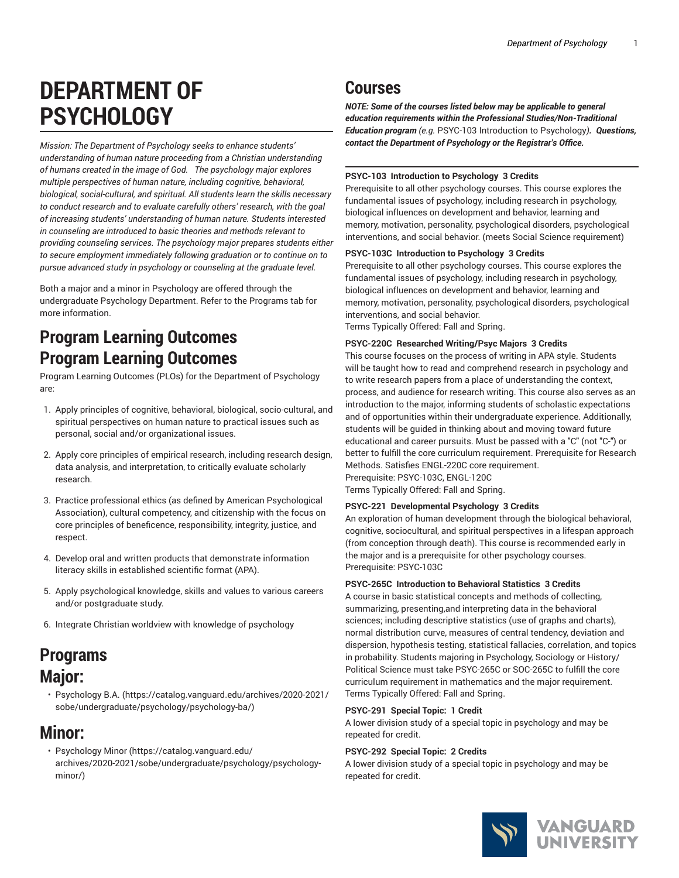# **DEPARTMENT OF PSYCHOLOGY**

*Mission: The Department of Psychology seeks to enhance students' understanding of human nature proceeding from a Christian understanding of humans created in the image of God. The psychology major explores multiple perspectives of human nature, including cognitive, behavioral, biological, social-cultural, and spiritual. All students learn the skills necessary to conduct research and to evaluate carefully others' research, with the goal of increasing students' understanding of human nature. Students interested in counseling are introduced to basic theories and methods relevant to providing counseling services. The psychology major prepares students either to secure employment immediately following graduation or to continue on to pursue advanced study in psychology or counseling at the graduate level.*

Both a major and a minor in Psychology are offered through the undergraduate Psychology Department. Refer to the Programs tab for more information.

## **Program Learning Outcomes Program Learning Outcomes**

Program Learning Outcomes (PLOs) for the Department of Psychology are:

- 1. Apply principles of cognitive, behavioral, biological, socio-cultural, and spiritual perspectives on human nature to practical issues such as personal, social and/or organizational issues.
- 2. Apply core principles of empirical research, including research design, data analysis, and interpretation, to critically evaluate scholarly research.
- 3. Practice professional ethics (as defined by American Psychological Association), cultural competency, and citizenship with the focus on core principles of beneficence, responsibility, integrity, justice, and respect.
- 4. Develop oral and written products that demonstrate information literacy skills in established scientific format (APA).
- 5. Apply psychological knowledge, skills and values to various careers and/or postgraduate study.
- 6. Integrate Christian worldview with knowledge of psychology

### **Programs Major:**

• [Psychology](https://catalog.vanguard.edu/archives/2020-2021/sobe/undergraduate/psychology/psychology-ba/) B.A. ([https://catalog.vanguard.edu/archives/2020-2021/](https://catalog.vanguard.edu/archives/2020-2021/sobe/undergraduate/psychology/psychology-ba/) [sobe/undergraduate/psychology/psychology-ba/\)](https://catalog.vanguard.edu/archives/2020-2021/sobe/undergraduate/psychology/psychology-ba/)

### **Minor:**

• [Psychology](https://catalog.vanguard.edu/archives/2020-2021/sobe/undergraduate/psychology/psychology-minor/) Minor [\(https://catalog.vanguard.edu/](https://catalog.vanguard.edu/archives/2020-2021/sobe/undergraduate/psychology/psychology-minor/) [archives/2020-2021/sobe/undergraduate/psychology/psychology](https://catalog.vanguard.edu/archives/2020-2021/sobe/undergraduate/psychology/psychology-minor/)[minor/](https://catalog.vanguard.edu/archives/2020-2021/sobe/undergraduate/psychology/psychology-minor/))

## **Courses**

*NOTE: Some of the courses listed below may be applicable to general education requirements within the Professional Studies/Non-Traditional Education program (e.g.* PSYC-103 Introduction to Psychology*). Questions, contact the Department of Psychology or the Registrar's Office.*

#### **PSYC-103 Introduction to Psychology 3 Credits**

Prerequisite to all other psychology courses. This course explores the fundamental issues of psychology, including research in psychology, biological influences on development and behavior, learning and memory, motivation, personality, psychological disorders, psychological interventions, and social behavior. (meets Social Science requirement)

#### **PSYC-103C Introduction to Psychology 3 Credits**

Prerequisite to all other psychology courses. This course explores the fundamental issues of psychology, including research in psychology, biological influences on development and behavior, learning and memory, motivation, personality, psychological disorders, psychological interventions, and social behavior.

Terms Typically Offered: Fall and Spring.

#### **PSYC-220C Researched Writing/Psyc Majors 3 Credits**

This course focuses on the process of writing in APA style. Students will be taught how to read and comprehend research in psychology and to write research papers from a place of understanding the context, process, and audience for research writing. This course also serves as an introduction to the major, informing students of scholastic expectations and of opportunities within their undergraduate experience. Additionally, students will be guided in thinking about and moving toward future educational and career pursuits. Must be passed with a "C" (not "C-") or better to fulfill the core curriculum requirement. Prerequisite for Research Methods. Satisfies ENGL-220C core requirement. Prerequisite: PSYC-103C, ENGL-120C Terms Typically Offered: Fall and Spring.

### **PSYC-221 Developmental Psychology 3 Credits**

An exploration of human development through the biological behavioral, cognitive, sociocultural, and spiritual perspectives in a lifespan approach (from conception through death). This course is recommended early in the major and is a prerequisite for other psychology courses. Prerequisite: PSYC-103C

#### **PSYC-265C Introduction to Behavioral Statistics 3 Credits**

A course in basic statistical concepts and methods of collecting, summarizing, presenting,and interpreting data in the behavioral sciences; including descriptive statistics (use of graphs and charts), normal distribution curve, measures of central tendency, deviation and dispersion, hypothesis testing, statistical fallacies, correlation, and topics in probability. Students majoring in Psychology, Sociology or History/ Political Science must take PSYC-265C or SOC-265C to fulfill the core curriculum requirement in mathematics and the major requirement. Terms Typically Offered: Fall and Spring.

#### **PSYC-291 Special Topic: 1 Credit**

A lower division study of a special topic in psychology and may be repeated for credit.

#### **PSYC-292 Special Topic: 2 Credits**

A lower division study of a special topic in psychology and may be repeated for credit.

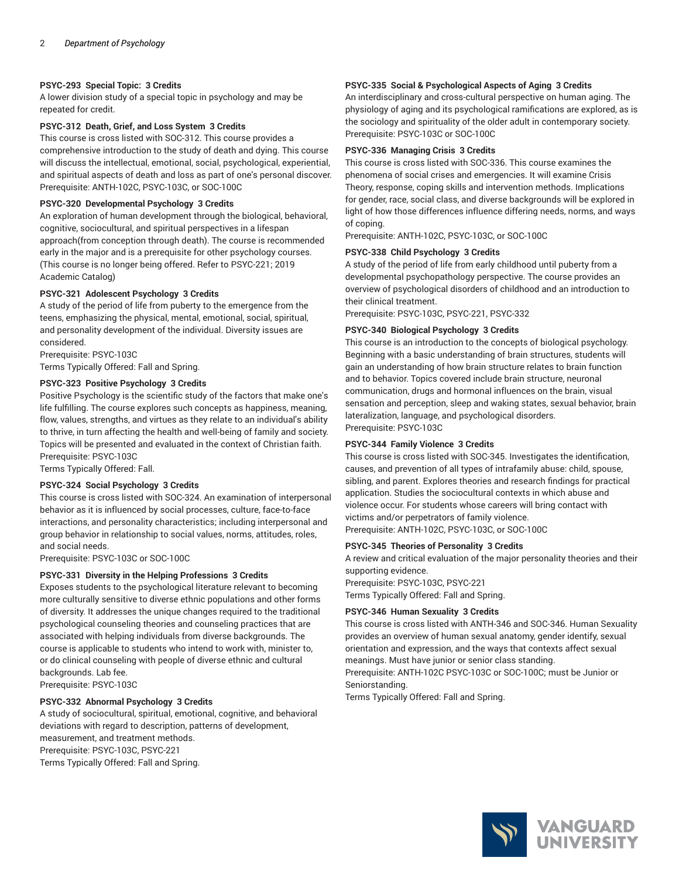#### **PSYC-293 Special Topic: 3 Credits**

A lower division study of a special topic in psychology and may be repeated for credit.

#### **PSYC-312 Death, Grief, and Loss System 3 Credits**

This course is cross listed with SOC-312. This course provides a comprehensive introduction to the study of death and dying. This course will discuss the intellectual, emotional, social, psychological, experiential, and spiritual aspects of death and loss as part of one's personal discover. Prerequisite: ANTH-102C, PSYC-103C, or SOC-100C

#### **PSYC-320 Developmental Psychology 3 Credits**

An exploration of human development through the biological, behavioral, cognitive, sociocultural, and spiritual perspectives in a lifespan approach(from conception through death). The course is recommended early in the major and is a prerequisite for other psychology courses. (This course is no longer being offered. Refer to PSYC-221; 2019 Academic Catalog)

#### **PSYC-321 Adolescent Psychology 3 Credits**

A study of the period of life from puberty to the emergence from the teens, emphasizing the physical, mental, emotional, social, spiritual, and personality development of the individual. Diversity issues are considered.

Prerequisite: PSYC-103C

Terms Typically Offered: Fall and Spring.

#### **PSYC-323 Positive Psychology 3 Credits**

Positive Psychology is the scientific study of the factors that make one's life fulfilling. The course explores such concepts as happiness, meaning, flow, values, strengths, and virtues as they relate to an individual's ability to thrive, in turn affecting the health and well-being of family and society. Topics will be presented and evaluated in the context of Christian faith. Prerequisite: PSYC-103C

Terms Typically Offered: Fall.

#### **PSYC-324 Social Psychology 3 Credits**

This course is cross listed with SOC-324. An examination of interpersonal behavior as it is influenced by social processes, culture, face-to-face interactions, and personality characteristics; including interpersonal and group behavior in relationship to social values, norms, attitudes, roles, and social needs.

Prerequisite: PSYC-103C or SOC-100C

#### **PSYC-331 Diversity in the Helping Professions 3 Credits**

Exposes students to the psychological literature relevant to becoming more culturally sensitive to diverse ethnic populations and other forms of diversity. It addresses the unique changes required to the traditional psychological counseling theories and counseling practices that are associated with helping individuals from diverse backgrounds. The course is applicable to students who intend to work with, minister to, or do clinical counseling with people of diverse ethnic and cultural backgrounds. Lab fee.

Prerequisite: PSYC-103C

#### **PSYC-332 Abnormal Psychology 3 Credits**

A study of sociocultural, spiritual, emotional, cognitive, and behavioral deviations with regard to description, patterns of development, measurement, and treatment methods. Prerequisite: PSYC-103C, PSYC-221 Terms Typically Offered: Fall and Spring.

#### **PSYC-335 Social & Psychological Aspects of Aging 3 Credits**

An interdisciplinary and cross-cultural perspective on human aging. The physiology of aging and its psychological ramifications are explored, as is the sociology and spirituality of the older adult in contemporary society. Prerequisite: PSYC-103C or SOC-100C

#### **PSYC-336 Managing Crisis 3 Credits**

This course is cross listed with SOC-336. This course examines the phenomena of social crises and emergencies. It will examine Crisis Theory, response, coping skills and intervention methods. Implications for gender, race, social class, and diverse backgrounds will be explored in light of how those differences influence differing needs, norms, and ways of coping.

Prerequisite: ANTH-102C, PSYC-103C, or SOC-100C

#### **PSYC-338 Child Psychology 3 Credits**

A study of the period of life from early childhood until puberty from a developmental psychopathology perspective. The course provides an overview of psychological disorders of childhood and an introduction to their clinical treatment.

Prerequisite: PSYC-103C, PSYC-221, PSYC-332

#### **PSYC-340 Biological Psychology 3 Credits**

This course is an introduction to the concepts of biological psychology. Beginning with a basic understanding of brain structures, students will gain an understanding of how brain structure relates to brain function and to behavior. Topics covered include brain structure, neuronal communication, drugs and hormonal influences on the brain, visual sensation and perception, sleep and waking states, sexual behavior, brain lateralization, language, and psychological disorders. Prerequisite: PSYC-103C

#### **PSYC-344 Family Violence 3 Credits**

This course is cross listed with SOC-345. Investigates the identification, causes, and prevention of all types of intrafamily abuse: child, spouse, sibling, and parent. Explores theories and research findings for practical application. Studies the sociocultural contexts in which abuse and violence occur. For students whose careers will bring contact with victims and/or perpetrators of family violence. Prerequisite: ANTH-102C, PSYC-103C, or SOC-100C

#### **PSYC-345 Theories of Personality 3 Credits**

A review and critical evaluation of the major personality theories and their supporting evidence.

Prerequisite: PSYC-103C, PSYC-221

Terms Typically Offered: Fall and Spring.

#### **PSYC-346 Human Sexuality 3 Credits**

This course is cross listed with ANTH-346 and SOC-346. Human Sexuality provides an overview of human sexual anatomy, gender identify, sexual orientation and expression, and the ways that contexts affect sexual meanings. Must have junior or senior class standing. Prerequisite: ANTH-102C PSYC-103C or SOC-100C; must be Junior or

Seniorstanding.

Terms Typically Offered: Fall and Spring.

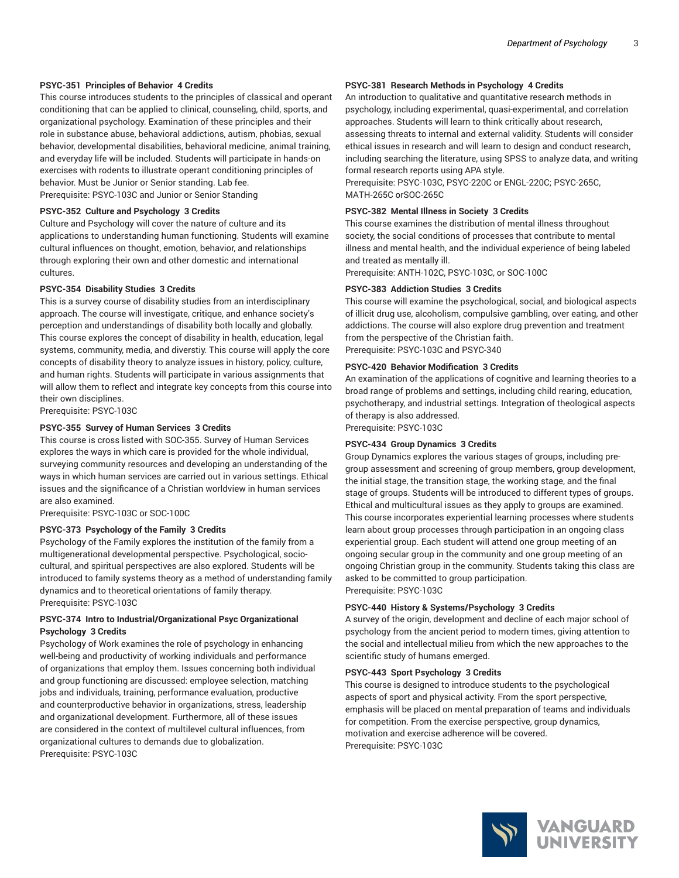#### **PSYC-351 Principles of Behavior 4 Credits**

This course introduces students to the principles of classical and operant conditioning that can be applied to clinical, counseling, child, sports, and organizational psychology. Examination of these principles and their role in substance abuse, behavioral addictions, autism, phobias, sexual behavior, developmental disabilities, behavioral medicine, animal training, and everyday life will be included. Students will participate in hands-on exercises with rodents to illustrate operant conditioning principles of behavior. Must be Junior or Senior standing. Lab fee. Prerequisite: PSYC-103C and Junior or Senior Standing

#### **PSYC-352 Culture and Psychology 3 Credits**

Culture and Psychology will cover the nature of culture and its applications to understanding human functioning. Students will examine cultural influences on thought, emotion, behavior, and relationships through exploring their own and other domestic and international cultures.

#### **PSYC-354 Disability Studies 3 Credits**

This is a survey course of disability studies from an interdisciplinary approach. The course will investigate, critique, and enhance society's perception and understandings of disability both locally and globally. This course explores the concept of disability in health, education, legal systems, community, media, and diverstiy. This course will apply the core concepts of disability theory to analyze issues in history, policy, culture, and human rights. Students will participate in various assignments that will allow them to reflect and integrate key concepts from this course into their own disciplines.

Prerequisite: PSYC-103C

#### **PSYC-355 Survey of Human Services 3 Credits**

This course is cross listed with SOC-355. Survey of Human Services explores the ways in which care is provided for the whole individual, surveying community resources and developing an understanding of the ways in which human services are carried out in various settings. Ethical issues and the significance of a Christian worldview in human services are also examined.

Prerequisite: PSYC-103C or SOC-100C

#### **PSYC-373 Psychology of the Family 3 Credits**

Psychology of the Family explores the institution of the family from a multigenerational developmental perspective. Psychological, sociocultural, and spiritual perspectives are also explored. Students will be introduced to family systems theory as a method of understanding family dynamics and to theoretical orientations of family therapy. Prerequisite: PSYC-103C

#### **PSYC-374 Intro to Industrial/Organizational Psyc Organizational Psychology 3 Credits**

Psychology of Work examines the role of psychology in enhancing well-being and productivity of working individuals and performance of organizations that employ them. Issues concerning both individual and group functioning are discussed: employee selection, matching jobs and individuals, training, performance evaluation, productive and counterproductive behavior in organizations, stress, leadership and organizational development. Furthermore, all of these issues are considered in the context of multilevel cultural influences, from organizational cultures to demands due to globalization. Prerequisite: PSYC-103C

#### **PSYC-381 Research Methods in Psychology 4 Credits**

An introduction to qualitative and quantitative research methods in psychology, including experimental, quasi-experimental, and correlation approaches. Students will learn to think critically about research, assessing threats to internal and external validity. Students will consider ethical issues in research and will learn to design and conduct research, including searching the literature, using SPSS to analyze data, and writing formal research reports using APA style.

Prerequisite: PSYC-103C, PSYC-220C or ENGL-220C; PSYC-265C, MATH-265C orSOC-265C

#### **PSYC-382 Mental Illness in Society 3 Credits**

This course examines the distribution of mental illness throughout society, the social conditions of processes that contribute to mental illness and mental health, and the individual experience of being labeled and treated as mentally ill.

Prerequisite: ANTH-102C, PSYC-103C, or SOC-100C

#### **PSYC-383 Addiction Studies 3 Credits**

This course will examine the psychological, social, and biological aspects of illicit drug use, alcoholism, compulsive gambling, over eating, and other addictions. The course will also explore drug prevention and treatment from the perspective of the Christian faith. Prerequisite: PSYC-103C and PSYC-340

#### **PSYC-420 Behavior Modification 3 Credits**

An examination of the applications of cognitive and learning theories to a broad range of problems and settings, including child rearing, education, psychotherapy, and industrial settings. Integration of theological aspects of therapy is also addressed.

Prerequisite: PSYC-103C

#### **PSYC-434 Group Dynamics 3 Credits**

Group Dynamics explores the various stages of groups, including pregroup assessment and screening of group members, group development, the initial stage, the transition stage, the working stage, and the final stage of groups. Students will be introduced to different types of groups. Ethical and multicultural issues as they apply to groups are examined. This course incorporates experiential learning processes where students learn about group processes through participation in an ongoing class experiential group. Each student will attend one group meeting of an ongoing secular group in the community and one group meeting of an ongoing Christian group in the community. Students taking this class are asked to be committed to group participation. Prerequisite: PSYC-103C

#### **PSYC-440 History & Systems/Psychology 3 Credits**

A survey of the origin, development and decline of each major school of psychology from the ancient period to modern times, giving attention to the social and intellectual milieu from which the new approaches to the scientific study of humans emerged.

#### **PSYC-443 Sport Psychology 3 Credits**

This course is designed to introduce students to the psychological aspects of sport and physical activity. From the sport perspective, emphasis will be placed on mental preparation of teams and individuals for competition. From the exercise perspective, group dynamics, motivation and exercise adherence will be covered. Prerequisite: PSYC-103C